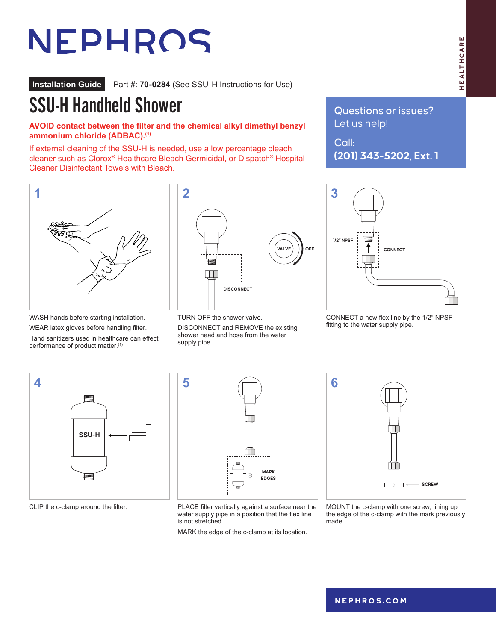## HEALTHCARE HEALTHCARE

# NEPHROS

**Installation Guide** Part #: **70-0284** (See SSU-H Instructions for Use)

### SSU-H Handheld Shower

**AVOID contact between the filter and the chemical alkyl dimethyl benzyl ammonium chloride (ADBAC).(1)**

If external cleaning of the SSU-H is needed, use a low percentage bleach cleaner such as Clorox® Healthcare Bleach Germicidal, or Dispatch® Hospital Cleaner Disinfectant Towels with Bleach.

WASH hands before starting installation.

WEAR latex gloves before handling filter. Hand sanitizers used in healthcare can effect

performance of product matter.<sup>(1)</sup>



TURN OFF the shower valve.

DISCONNECT and REMOVE the existing shower head and hose from the water supply pipe.

Questions or issues? Let us help!

Call: **(201) 343-5202, Ext. 1**



CONNECT a new flex line by the 1/2" NPSF fitting to the water supply pipe.





CLIP the c-clamp around the filter. PLACE filter vertically against a surface near the water supply pipe in a position that the flex line is not stretched.

MARK the edge of the c-clamp at its location.



MOUNT the c-clamp with one screw, lining up the edge of the c-clamp with the mark previously made.